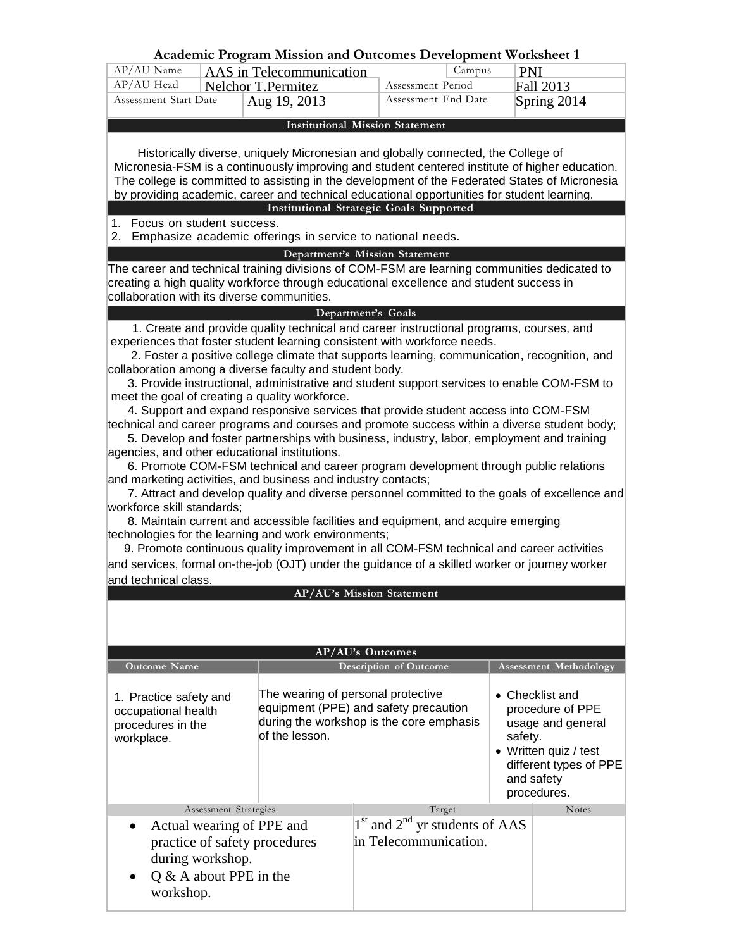|                                                                                                                                                                |                            | Academic Program Mission and Outcomes Development Worksheet 1                                                                        |                        |        |                                                                                                |  |
|----------------------------------------------------------------------------------------------------------------------------------------------------------------|----------------------------|--------------------------------------------------------------------------------------------------------------------------------------|------------------------|--------|------------------------------------------------------------------------------------------------|--|
| AP/AU Name                                                                                                                                                     |                            | AAS in Telecommunication                                                                                                             |                        | Campus | <b>PNI</b>                                                                                     |  |
| AP/AU Head                                                                                                                                                     |                            | <b>Nelchor T.Permitez</b>                                                                                                            | Assessment Period      |        | Fall 2013                                                                                      |  |
| Assessment Start Date                                                                                                                                          |                            | Aug 19, 2013                                                                                                                         | Assessment End Date    |        | Spring 2014                                                                                    |  |
|                                                                                                                                                                |                            | <b>Institutional Mission Statement</b>                                                                                               |                        |        |                                                                                                |  |
|                                                                                                                                                                |                            |                                                                                                                                      |                        |        |                                                                                                |  |
|                                                                                                                                                                |                            | Historically diverse, uniquely Micronesian and globally connected, the College of                                                    |                        |        |                                                                                                |  |
|                                                                                                                                                                |                            |                                                                                                                                      |                        |        | Micronesia-FSM is a continuously improving and student centered institute of higher education. |  |
|                                                                                                                                                                |                            |                                                                                                                                      |                        |        | The college is committed to assisting in the development of the Federated States of Micronesia |  |
|                                                                                                                                                                |                            | by providing academic, career and technical educational opportunities for student learning.                                          |                        |        |                                                                                                |  |
|                                                                                                                                                                |                            | <b>Institutional Strategic Goals Supported</b>                                                                                       |                        |        |                                                                                                |  |
| Focus on student success.<br>1.<br>2.                                                                                                                          |                            | Emphasize academic offerings in service to national needs.                                                                           |                        |        |                                                                                                |  |
|                                                                                                                                                                |                            |                                                                                                                                      |                        |        |                                                                                                |  |
|                                                                                                                                                                |                            | Department's Mission Statement<br>The career and technical training divisions of COM-FSM are learning communities dedicated to       |                        |        |                                                                                                |  |
|                                                                                                                                                                |                            | creating a high quality workforce through educational excellence and student success in                                              |                        |        |                                                                                                |  |
| collaboration with its diverse communities.                                                                                                                    |                            |                                                                                                                                      |                        |        |                                                                                                |  |
|                                                                                                                                                                |                            | Department's Goals                                                                                                                   |                        |        |                                                                                                |  |
|                                                                                                                                                                |                            | 1. Create and provide quality technical and career instructional programs, courses, and                                              |                        |        |                                                                                                |  |
|                                                                                                                                                                |                            | experiences that foster student learning consistent with workforce needs.                                                            |                        |        |                                                                                                |  |
|                                                                                                                                                                |                            | 2. Foster a positive college climate that supports learning, communication, recognition, and                                         |                        |        |                                                                                                |  |
|                                                                                                                                                                |                            | collaboration among a diverse faculty and student body.                                                                              |                        |        |                                                                                                |  |
|                                                                                                                                                                |                            | 3. Provide instructional, administrative and student support services to enable COM-FSM to                                           |                        |        |                                                                                                |  |
|                                                                                                                                                                |                            | meet the goal of creating a quality workforce.<br>4. Support and expand responsive services that provide student access into COM-FSM |                        |        |                                                                                                |  |
|                                                                                                                                                                |                            |                                                                                                                                      |                        |        | technical and career programs and courses and promote success within a diverse student body;   |  |
|                                                                                                                                                                |                            | 5. Develop and foster partnerships with business, industry, labor, employment and training                                           |                        |        |                                                                                                |  |
| agencies, and other educational institutions.                                                                                                                  |                            |                                                                                                                                      |                        |        |                                                                                                |  |
| 6. Promote COM-FSM technical and career program development through public relations                                                                           |                            |                                                                                                                                      |                        |        |                                                                                                |  |
| and marketing activities, and business and industry contacts;<br>7. Attract and develop quality and diverse personnel committed to the goals of excellence and |                            |                                                                                                                                      |                        |        |                                                                                                |  |
|                                                                                                                                                                |                            |                                                                                                                                      |                        |        |                                                                                                |  |
|                                                                                                                                                                | workforce skill standards; |                                                                                                                                      |                        |        |                                                                                                |  |
| 8. Maintain current and accessible facilities and equipment, and acquire emerging<br>technologies for the learning and work environments;                      |                            |                                                                                                                                      |                        |        |                                                                                                |  |
| 9. Promote continuous quality improvement in all COM-FSM technical and career activities                                                                       |                            |                                                                                                                                      |                        |        |                                                                                                |  |
| and services, formal on-the-job (OJT) under the guidance of a skilled worker or journey worker                                                                 |                            |                                                                                                                                      |                        |        |                                                                                                |  |
| and technical class.                                                                                                                                           |                            |                                                                                                                                      |                        |        |                                                                                                |  |
| AP/AU's Mission Statement                                                                                                                                      |                            |                                                                                                                                      |                        |        |                                                                                                |  |
|                                                                                                                                                                |                            |                                                                                                                                      |                        |        |                                                                                                |  |
|                                                                                                                                                                |                            |                                                                                                                                      |                        |        |                                                                                                |  |
| <b>AP/AU's Outcomes</b>                                                                                                                                        |                            |                                                                                                                                      |                        |        |                                                                                                |  |
| <b>Outcome Name</b>                                                                                                                                            |                            |                                                                                                                                      | Description of Outcome |        | <b>Assessment Methodology</b>                                                                  |  |
|                                                                                                                                                                |                            |                                                                                                                                      |                        |        |                                                                                                |  |
| 1. Practice safety and                                                                                                                                         |                            | The wearing of personal protective                                                                                                   |                        |        | • Checklist and                                                                                |  |
| occupational health                                                                                                                                            |                            | equipment (PPE) and safety precaution                                                                                                |                        |        | procedure of PPE                                                                               |  |
| procedures in the                                                                                                                                              |                            | during the workshop is the core emphasis                                                                                             |                        |        | usage and general                                                                              |  |

| procours in the<br>workplace.                                                                                             | of the lesson. |                                                             | safety. | • Written quiz / test<br>different types of PPE<br>and safety<br>procedures. |
|---------------------------------------------------------------------------------------------------------------------------|----------------|-------------------------------------------------------------|---------|------------------------------------------------------------------------------|
| Assessment Strategies                                                                                                     |                | Target                                                      |         | <b>Notes</b>                                                                 |
| • Actual wearing of PPE and<br>practice of safety procedures<br>during workshop.<br>$Q & A$ about PPE in the<br>workshop. |                | $1st$ and $2nd$ yr students of AAS<br>in Telecommunication. |         |                                                                              |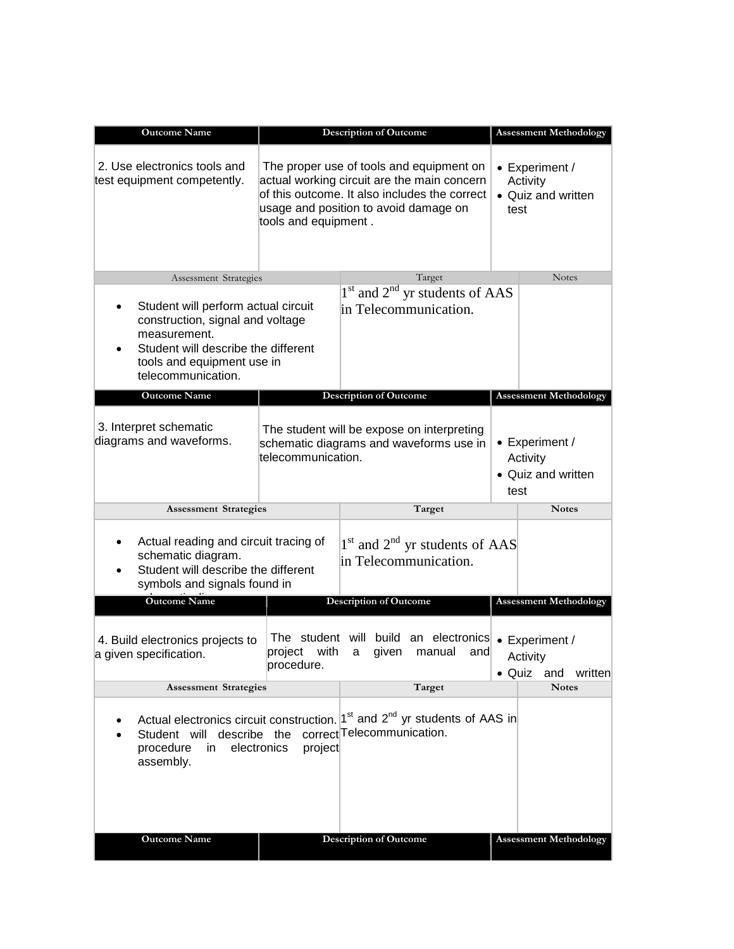| <b>Outcome Name</b>                                                                                                                                                                | <b>Description of Outcome</b>                                                                                                                                                                             |                                                                                                     |                                                          | <b>Assessment Methodology</b>                            |  |
|------------------------------------------------------------------------------------------------------------------------------------------------------------------------------------|-----------------------------------------------------------------------------------------------------------------------------------------------------------------------------------------------------------|-----------------------------------------------------------------------------------------------------|----------------------------------------------------------|----------------------------------------------------------|--|
| 2. Use electronics tools and<br>test equipment competently.                                                                                                                        | The proper use of tools and equipment on<br>actual working circuit are the main concern<br>of this outcome. It also includes the correct<br>usage and position to avoid damage on<br>tools and equipment. |                                                                                                     | • Experiment /<br>Activity<br>• Quiz and written<br>test |                                                          |  |
| Assessment Strategies                                                                                                                                                              |                                                                                                                                                                                                           | Target                                                                                              |                                                          | <b>Notes</b>                                             |  |
| Student will perform actual circuit<br>construction, signal and voltage<br>measurement.<br>Student will describe the different<br>tools and equipment use in<br>telecommunication. |                                                                                                                                                                                                           | $1st$ and $2nd$ yr students of AAS<br>in Telecommunication.                                         |                                                          |                                                          |  |
| <b>Outcome Name</b>                                                                                                                                                                |                                                                                                                                                                                                           | <b>Description of Outcome</b>                                                                       |                                                          | <b>Assessment Methodology</b>                            |  |
| 3. Interpret schematic<br>diagrams and waveforms.                                                                                                                                  | The student will be expose on interpreting<br>schematic diagrams and waveforms use in<br>telecommunication.                                                                                               |                                                                                                     |                                                          | • Experiment /<br>Activity<br>• Quiz and written<br>test |  |
| <b>Assessment Strategies</b>                                                                                                                                                       |                                                                                                                                                                                                           | Target                                                                                              |                                                          | <b>Notes</b>                                             |  |
| Actual reading and circuit tracing of<br>schematic diagram.<br>Student will describe the different<br>symbols and signals found in                                                 |                                                                                                                                                                                                           | $1st$ and $2nd$ yr students of AAS<br>in Telecommunication.                                         |                                                          |                                                          |  |
| <b>Outcome Name</b>                                                                                                                                                                |                                                                                                                                                                                                           | <b>Description of Outcome</b>                                                                       |                                                          | <b>Assessment Methodology</b>                            |  |
| 4. Build electronics projects to<br>a given specification.                                                                                                                         | The student will build an electronics<br>with<br>project<br>procedure.                                                                                                                                    |                                                                                                     | • Experiment /<br>and<br>Activity<br>• Quiz and written  |                                                          |  |
| <b>Assessment Strategies</b>                                                                                                                                                       |                                                                                                                                                                                                           | Target                                                                                              |                                                          | <b>Notes</b>                                             |  |
| Student will describe the correct Telecommunication.<br>procedure<br>in.<br>assembly.                                                                                              | electronics<br>project                                                                                                                                                                                    | Actual electronics circuit construction.  1 <sup>st</sup> and 2 <sup>nd</sup> yr students of AAS in |                                                          |                                                          |  |
| <b>Outcome Name</b>                                                                                                                                                                |                                                                                                                                                                                                           | <b>Description of Outcome</b>                                                                       |                                                          | <b>Assessment Methodology</b>                            |  |